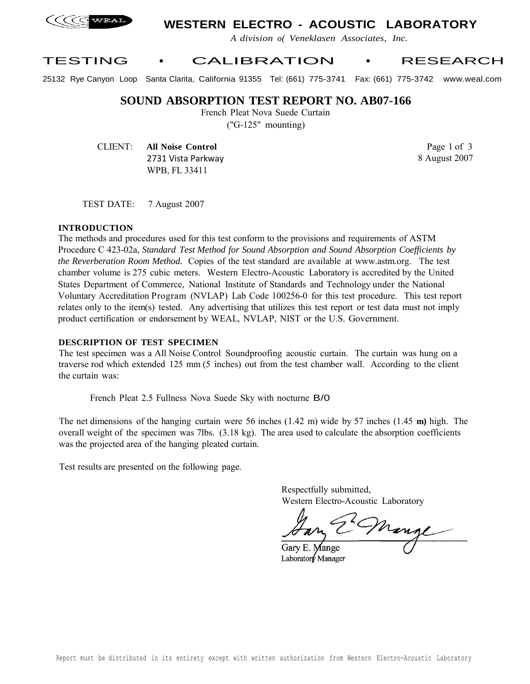

## **WESTERN ELECTRO - ACOUSTIC LABORATORY**

*A division o( Veneklasen Associates, Inc.*

## TESTING • CALIBRATION • RESEARCH

25132 Rye Canyon Loop Santa Clarita, California 91355 Tel: (661) 775-3741 Fax: (661) 775-3742 www.weal.com

### **SOUND ABSORPTION TEST REPORT NO. AB07-166**

French Pleat Nova Suede Curtain ("G-125" mounting)

CLIENT: **All Noise Control** 2731 Vista Parkway WPB, FL 33411

Page 1 of 3 8 August 2007

TEST DATE: 7 August 2007

#### **INTRODUCTION**

The methods and procedures used for this test conform to the provisions and requirements of ASTM Procedure C 423-02a, *Standard Test Method for Sound Absorption and Sound Absorption Coefficients by the Reverberation Room Method.* Copies of the test standard are available at www.astm.org. The test chamber volume is 275 cubic meters. Western Electro-Acoustic Laboratory is accredited by the United States Department of Commerce, National Institute of Standards and Technology under the National Voluntary Accreditation P rogram (NVLAP) Lab Code 100256-0 for this test procedure. This test report relates only to the item(s) tested. Any advertising that utilizes this test report or test data must not imply product certification or endorsement by WEAL, NVLAP, NIST or the U.S. Government.

#### **DESCRIPTION OF TEST SPECIMEN**

The test specimen was a All Noise Control Soundproofing acoustic curtain. The curtain was hung on a traverse rod which extended 125 mm (5 inches) out from the test chamber wall. According to the client the curtain was:

French Pleat 2.5 Fullness Nova Suede Sky with nocturne B/0

The net dimensions of the hanging curtain were 56 inches (1.42 m) wide by 57 inches (1.45 **m)** high. The overall weight of the specimen was 7lbs. (3.18 kg). The area used to calculate the absorption coefficients was the projected area of the hanging pleated curtain.

Test results are presented on the following page.

Respectfully submitted, Western Electro-Acoustic Laboratory

Mange

Gary E. Mange Laboratory Manager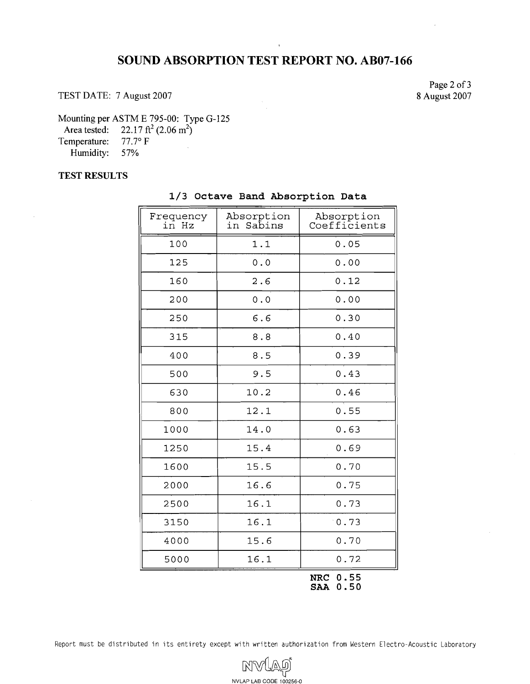# **SOUND ABSORPTION TEST REPORT NO. AB07-166**

TEST DATE: 7 August 2007

Page 2 of **3**  8 August 2007

Mounting per ASTM E 795-00: Type G-125

Area tested:  $22.17 \text{ ft}^2 (2.06 \text{ m}^2)$ 

Temperature: 77.7° F Humidity: 57%

### **TEST RESULTS**

| Frequency<br>in Hz | Absorption<br>in<br>Sabins | Absorption<br>Coefficients |
|--------------------|----------------------------|----------------------------|
| 100                | 1.1                        | 0.05                       |
| 125                | 0.0                        | 0.00                       |
| 160                | 2.6                        | 0.12                       |
| 200                | 0.0                        | 0.00                       |
| 250                | 6.6                        | 0.30                       |
| 315                | 8.8                        | 0.40                       |
| 400                | 8.5                        | 0.39                       |
| 500                | 9.5                        | 0.43                       |
| 630                | 10.2                       | 0.46                       |
| 800                | 12.1                       | 0.55                       |
| 1000               | 14.0                       | 0.63                       |
| 1250               | 15.4                       | 0.69                       |
| 1600               | 15.5                       | 0.70                       |
| 2000               | 16.6                       | 0.75                       |
| 2500               | 16.1                       | 0.73                       |
| 3150               | 16.1                       | 0.73                       |
| 4000               | 15.6                       | 0.70                       |
| 5000               | 16.1                       | 0.72                       |

### **1/3 Octave Band Absorption Data**

**NRC 0.55 SAA 0.50** 

Report must be distributed in its entirety except with written authorization from Western Electro-Acoustic Laboratory